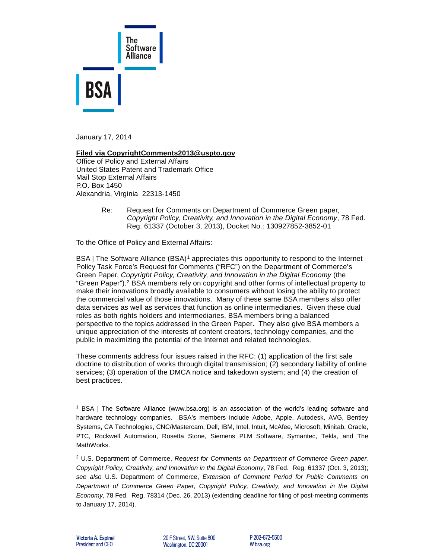

January 17, 2014

## **Filed via CopyrightComments2013@uspto.gov**

Office of Policy and External Affairs United States Patent and Trademark Office Mail Stop External Affairs P.O. Box 1450 Alexandria, Virginia 22313-1450

> Re: Request for Comments on Department of Commerce Green paper, *Copyright Policy, Creativity, and Innovation in the Digital Economy*, 78 Fed. Reg. 61337 (October 3, 2013), Docket No.: 130927852-3852-01

To the Office of Policy and External Affairs:

BSA | The Software Alliance (BSA)<sup>[1](#page-0-0)</sup> appreciates this opportunity to respond to the Internet Policy Task Force's Request for Comments ("RFC") on the Department of Commerce's Green Paper, *Copyright Policy, Creativity, and Innovation in the Digital Economy* (the "Green Paper").<sup>[2](#page-0-1)</sup> BSA members rely on copyright and other forms of intellectual property to make their innovations broadly available to consumers without losing the ability to protect the commercial value of those innovations. Many of these same BSA members also offer data services as well as services that function as online intermediaries. Given these dual roles as both rights holders and intermediaries, BSA members bring a balanced perspective to the topics addressed in the Green Paper. They also give BSA members a unique appreciation of the interests of content creators, technology companies, and the public in maximizing the potential of the Internet and related technologies.

These comments address four issues raised in the RFC: (1) application of the first sale doctrine to distribution of works through digital transmission; (2) secondary liability of online services; (3) operation of the DMCA notice and takedown system; and (4) the creation of best practices.

-

<span id="page-0-0"></span><sup>1</sup> BSA | The Software Alliance (www.bsa.org) is an association of the world's leading software and hardware technology companies. BSA's members include Adobe, Apple, Autodesk, AVG, Bentley Systems, CA Technologies, CNC/Mastercam, Dell, IBM, Intel, Intuit, McAfee, Microsoft, Minitab, Oracle, PTC, Rockwell Automation, Rosetta Stone, Siemens PLM Software, Symantec, Tekla, and The MathWorks.

<span id="page-0-1"></span><sup>2</sup> U.S. Department of Commerce, *Request for Comments on Department of Commerce Green paper, Copyright Policy, Creativity, and Innovation in the Digital Economy*, 78 Fed. Reg. 61337 (Oct. 3, 2013); *see also* U.S. Department of Commerce, *Extension of Comment Period for Public Comments on Department of Commerce Green Paper, Copyright Policy, Creativity, and Innovation in the Digital Economy*, 78 Fed. Reg. 78314 (Dec. 26, 2013) (extending deadline for filing of post-meeting comments to January 17, 2014).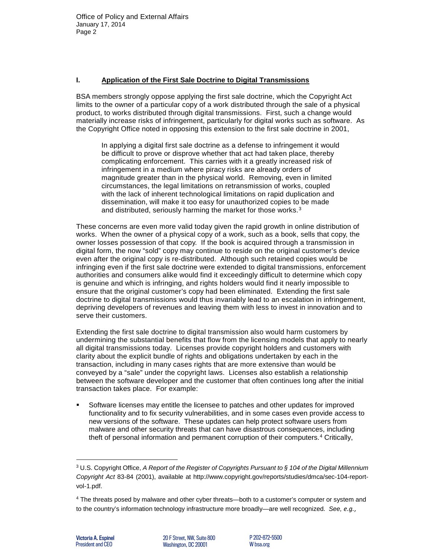## **I. Application of the First Sale Doctrine to Digital Transmissions**

BSA members strongly oppose applying the first sale doctrine, which the Copyright Act limits to the owner of a particular copy of a work distributed through the sale of a physical product, to works distributed through digital transmissions. First, such a change would materially increase risks of infringement, particularly for digital works such as software. As the Copyright Office noted in opposing this extension to the first sale doctrine in 2001,

In applying a digital first sale doctrine as a defense to infringement it would be difficult to prove or disprove whether that act had taken place, thereby complicating enforcement. This carries with it a greatly increased risk of infringement in a medium where piracy risks are already orders of magnitude greater than in the physical world. Removing, even in limited circumstances, the legal limitations on retransmission of works, coupled with the lack of inherent technological limitations on rapid duplication and dissemination, will make it too easy for unauthorized copies to be made and distributed, seriously harming the market for those works.[3](#page-1-0)

These concerns are even more valid today given the rapid growth in online distribution of works. When the owner of a physical copy of a work, such as a book, sells that copy, the owner losses possession of that copy. If the book is acquired through a transmission in digital form, the now "sold" copy may continue to reside on the original customer's device even after the original copy is re-distributed. Although such retained copies would be infringing even if the first sale doctrine were extended to digital transmissions, enforcement authorities and consumers alike would find it exceedingly difficult to determine which copy is genuine and which is infringing, and rights holders would find it nearly impossible to ensure that the original customer's copy had been eliminated. Extending the first sale doctrine to digital transmissions would thus invariably lead to an escalation in infringement, depriving developers of revenues and leaving them with less to invest in innovation and to serve their customers.

Extending the first sale doctrine to digital transmission also would harm customers by undermining the substantial benefits that flow from the licensing models that apply to nearly all digital transmissions today. Licenses provide copyright holders and customers with clarity about the explicit bundle of rights and obligations undertaken by each in the transaction, including in many cases rights that are more extensive than would be conveyed by a "sale" under the copyright laws. Licenses also establish a relationship between the software developer and the customer that often continues long after the initial transaction takes place. For example:

 Software licenses may entitle the licensee to patches and other updates for improved functionality and to fix security vulnerabilities, and in some cases even provide access to new versions of the software. These updates can help protect software users from malware and other security threats that can have disastrous consequences, including theft of personal information and permanent corruption of their computers.[4](#page-1-1) Critically,

-

<span id="page-1-0"></span><sup>3</sup> U.S. Copyright Office, *A Report of the Register of Copyrights Pursuant to § 104 of the Digital Millennium Copyright Act* 83-84 (2001), available at [http://www.copyright.gov/reports/studies/dmca/sec-104-report](http://www.copyright.gov/reports/studies/dmca/sec-104-report-vol-1.pdf)[vol-1.pdf.](http://www.copyright.gov/reports/studies/dmca/sec-104-report-vol-1.pdf)

<span id="page-1-1"></span><sup>4</sup> The threats posed by malware and other cyber threats—both to a customer's computer or system and to the country's information technology infrastructure more broadly—are well recognized. *See, e.g.*,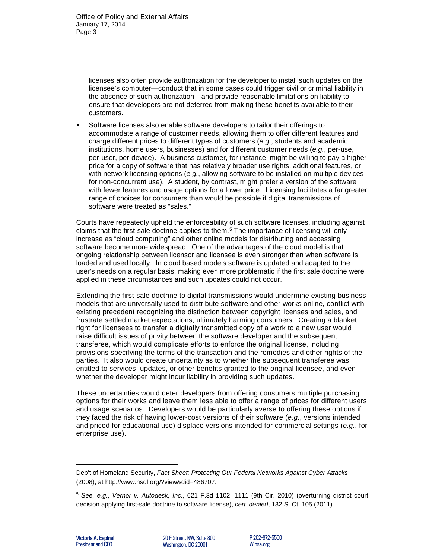licenses also often provide authorization for the developer to install such updates on the licensee's computer—conduct that in some cases could trigger civil or criminal liability in the absence of such authorization—and provide reasonable limitations on liability to ensure that developers are not deterred from making these benefits available to their customers.

 Software licenses also enable software developers to tailor their offerings to accommodate a range of customer needs, allowing them to offer different features and charge different prices to different types of customers (*e.g.*, students and academic institutions, home users, businesses) and for different customer needs (*e.g.*, per-use, per-user, per-device). A business customer, for instance, might be willing to pay a higher price for a copy of software that has relatively broader use rights, additional features, or with network licensing options (*e.g.*, allowing software to be installed on multiple devices for non-concurrent use). A student, by contrast, might prefer a version of the software with fewer features and usage options for a lower price. Licensing facilitates a far greater range of choices for consumers than would be possible if digital transmissions of software were treated as "sales."

Courts have repeatedly upheld the enforceability of such software licenses, including against claims that the first-sale doctrine applies to them.<sup>[5](#page-2-0)</sup> The importance of licensing will only increase as "cloud computing" and other online models for distributing and accessing software become more widespread. One of the advantages of the cloud model is that ongoing relationship between licensor and licensee is even stronger than when software is loaded and used locally. In cloud based models software is updated and adapted to the user's needs on a regular basis, making even more problematic if the first sale doctrine were applied in these circumstances and such updates could not occur.

Extending the first-sale doctrine to digital transmissions would undermine existing business models that are universally used to distribute software and other works online, conflict with existing precedent recognizing the distinction between copyright licenses and sales, and frustrate settled market expectations, ultimately harming consumers. Creating a blanket right for licensees to transfer a digitally transmitted copy of a work to a new user would raise difficult issues of privity between the software developer and the subsequent transferee, which would complicate efforts to enforce the original license, including provisions specifying the terms of the transaction and the remedies and other rights of the parties. It also would create uncertainty as to whether the subsequent transferee was entitled to services, updates, or other benefits granted to the original licensee, and even whether the developer might incur liability in providing such updates.

These uncertainties would deter developers from offering consumers multiple purchasing options for their works and leave them less able to offer a range of prices for different users and usage scenarios. Developers would be particularly averse to offering these options if they faced the risk of having lower-cost versions of their software (*e.g.*, versions intended and priced for educational use) displace versions intended for commercial settings (*e.g.*, for enterprise use).

l

Dep't of Homeland Security, *Fact Sheet: Protecting Our Federal Networks Against Cyber Attacks* (2008), at [http://www.hsdl.org/?view&did=486707.](http://www.hsdl.org/?view&did=486707) 

<span id="page-2-0"></span><sup>5</sup> *See, e.g.*, *Vernor v. Autodesk, Inc.*, 621 F.3d 1102, 1111 (9th Cir. 2010) (overturning district court decision applying first-sale doctrine to software license), *cert. denied*, 132 S. Ct. 105 (2011).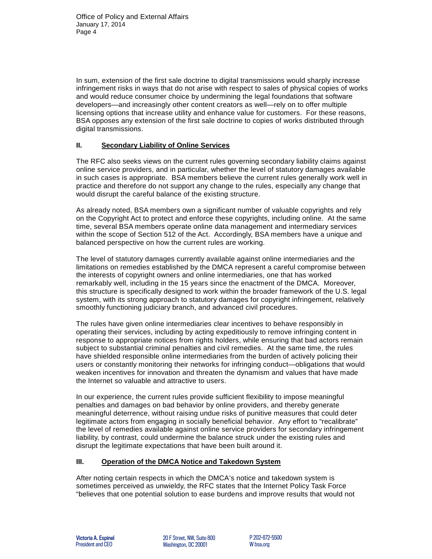In sum, extension of the first sale doctrine to digital transmissions would sharply increase infringement risks in ways that do not arise with respect to sales of physical copies of works and would reduce consumer choice by undermining the legal foundations that software developers—and increasingly other content creators as well—rely on to offer multiple licensing options that increase utility and enhance value for customers. For these reasons, BSA opposes any extension of the first sale doctrine to copies of works distributed through digital transmissions.

## **II. Secondary Liability of Online Services**

The RFC also seeks views on the current rules governing secondary liability claims against online service providers, and in particular, whether the level of statutory damages available in such cases is appropriate. BSA members believe the current rules generally work well in practice and therefore do not support any change to the rules, especially any change that would disrupt the careful balance of the existing structure.

As already noted, BSA members own a significant number of valuable copyrights and rely on the Copyright Act to protect and enforce these copyrights, including online. At the same time, several BSA members operate online data management and intermediary services within the scope of Section 512 of the Act. Accordingly, BSA members have a unique and balanced perspective on how the current rules are working.

The level of statutory damages currently available against online intermediaries and the limitations on remedies established by the DMCA represent a careful compromise between the interests of copyright owners and online intermediaries, one that has worked remarkably well, including in the 15 years since the enactment of the DMCA. Moreover, this structure is specifically designed to work within the broader framework of the U.S. legal system, with its strong approach to statutory damages for copyright infringement, relatively smoothly functioning judiciary branch, and advanced civil procedures.

The rules have given online intermediaries clear incentives to behave responsibly in operating their services, including by acting expeditiously to remove infringing content in response to appropriate notices from rights holders, while ensuring that bad actors remain subject to substantial criminal penalties and civil remedies. At the same time, the rules have shielded responsible online intermediaries from the burden of actively policing their users or constantly monitoring their networks for infringing conduct—obligations that would weaken incentives for innovation and threaten the dynamism and values that have made the Internet so valuable and attractive to users.

In our experience, the current rules provide sufficient flexibility to impose meaningful penalties and damages on bad behavior by online providers, and thereby generate meaningful deterrence, without raising undue risks of punitive measures that could deter legitimate actors from engaging in socially beneficial behavior. Any effort to "recalibrate" the level of remedies available against online service providers for secondary infringement liability, by contrast, could undermine the balance struck under the existing rules and disrupt the legitimate expectations that have been built around it.

# **III. Operation of the DMCA Notice and Takedown System**

After noting certain respects in which the DMCA's notice and takedown system is sometimes perceived as unwieldy, the RFC states that the Internet Policy Task Force "believes that one potential solution to ease burdens and improve results that would not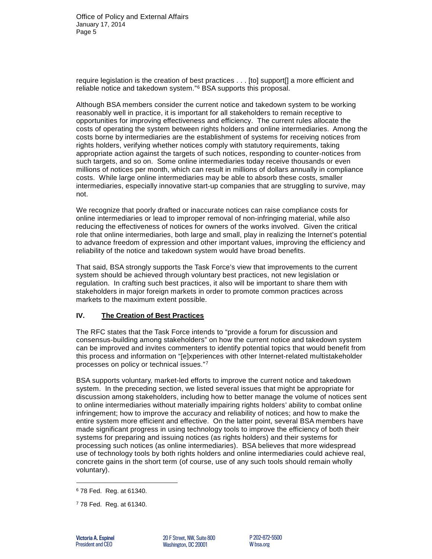require legislation is the creation of best practices . . . [to] support[] a more efficient and reliable notice and takedown system."[6](#page-4-0) BSA supports this proposal.

Although BSA members consider the current notice and takedown system to be working reasonably well in practice, it is important for all stakeholders to remain receptive to opportunities for improving effectiveness and efficiency. The current rules allocate the costs of operating the system between rights holders and online intermediaries. Among the costs borne by intermediaries are the establishment of systems for receiving notices from rights holders, verifying whether notices comply with statutory requirements, taking appropriate action against the targets of such notices, responding to counter-notices from such targets, and so on. Some online intermediaries today receive thousands or even millions of notices per month, which can result in millions of dollars annually in compliance costs. While large online intermediaries may be able to absorb these costs, smaller intermediaries, especially innovative start-up companies that are struggling to survive, may not.

We recognize that poorly drafted or inaccurate notices can raise compliance costs for online intermediaries or lead to improper removal of non-infringing material, while also reducing the effectiveness of notices for owners of the works involved. Given the critical role that online intermediaries, both large and small, play in realizing the Internet's potential to advance freedom of expression and other important values, improving the efficiency and reliability of the notice and takedown system would have broad benefits.

That said, BSA strongly supports the Task Force's view that improvements to the current system should be achieved through voluntary best practices, not new legislation or regulation. In crafting such best practices, it also will be important to share them with stakeholders in major foreign markets in order to promote common practices across markets to the maximum extent possible.

### **IV. The Creation of Best Practices**

The RFC states that the Task Force intends to "provide a forum for discussion and consensus-building among stakeholders" on how the current notice and takedown system can be improved and invites commenters to identify potential topics that would benefit from this process and information on "[e]xperiences with other Internet-related multistakeholder processes on policy or technical issues."[7](#page-4-1)

BSA supports voluntary, market-led efforts to improve the current notice and takedown system. In the preceding section, we listed several issues that might be appropriate for discussion among stakeholders, including how to better manage the volume of notices sent to online intermediaries without materially impairing rights holders' ability to combat online infringement; how to improve the accuracy and reliability of notices; and how to make the entire system more efficient and effective. On the latter point, several BSA members have made significant progress in using technology tools to improve the efficiency of both their systems for preparing and issuing notices (as rights holders) and their systems for processing such notices (as online intermediaries). BSA believes that more widespread use of technology tools by both rights holders and online intermediaries could achieve real, concrete gains in the short term (of course, use of any such tools should remain wholly voluntary).

-

<span id="page-4-0"></span><sup>6</sup> 78 Fed. Reg. at 61340.

<span id="page-4-1"></span><sup>7</sup> 78 Fed. Reg. at 61340.